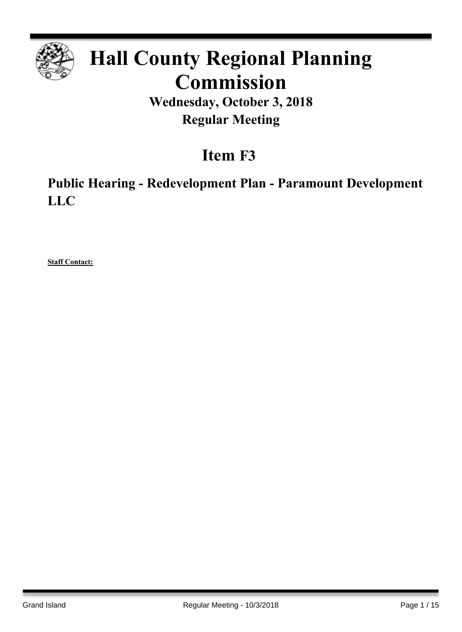

# **Hall County Regional Planning Commission**

**Wednesday, October 3, 2018 Regular Meeting**

## **Item F3**

**Public Hearing - Redevelopment Plan - Paramount Development LLC**

**Staff Contact:**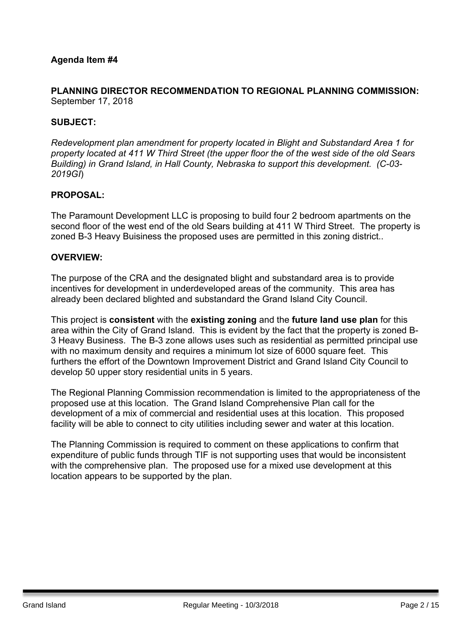#### **PLANNING DIRECTOR RECOMMENDATION TO REGIONAL PLANNING COMMISSION:** September 17, 2018

#### **SUBJECT:**

*Redevelopment plan amendment for property located in Blight and Substandard Area 1 for* property located at 411 W Third Street (the upper floor the of the west side of the old Sears *Building) in Grand Island, in Hall County, Nebraska to support this development. (C-03- 2019GI*)

#### **PROPOSAL:**

The Paramount Development LLC is proposing to build four 2 bedroom apartments on the second floor of the west end of the old Sears building at 411 W Third Street. The property is zoned B-3 Heavy Buisiness the proposed uses are permitted in this zoning district..

#### **OVERVIEW:**

The purpose of the CRA and the designated blight and substandard area is to provide incentives for development in underdeveloped areas of the community. This area has already been declared blighted and substandard the Grand Island City Council.

This project is **consistent** with the **existing zoning** and the **future land use plan** for this area within the City of Grand Island. This is evident by the fact that the property is zoned B-3 Heavy Business. The B-3 zone allows uses such as residential as permitted principal use with no maximum density and requires a minimum lot size of 6000 square feet. This furthers the effort of the Downtown Improvement District and Grand Island City Council to develop 50 upper story residential units in 5 years.

The Regional Planning Commission recommendation is limited to the appropriateness of the proposed use at this location. The Grand Island Comprehensive Plan call for the development of a mix of commercial and residential uses at this location. This proposed facility will be able to connect to city utilities including sewer and water at this location.

The Planning Commission is required to comment on these applications to confirm that expenditure of public funds through TIF is not supporting uses that would be inconsistent with the comprehensive plan. The proposed use for a mixed use development at this location appears to be supported by the plan.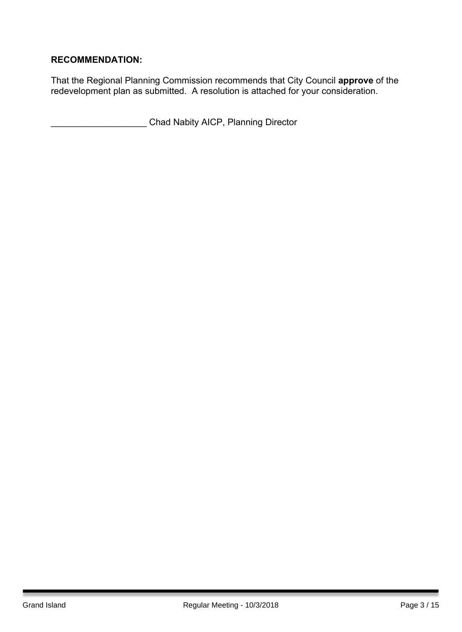## **RECOMMENDATION:**

That the Regional Planning Commission recommends that City Council **approve** of the redevelopment plan as submitted. A resolution is attached for your consideration.

\_\_\_\_\_\_\_\_\_\_\_\_\_\_\_\_\_\_\_ Chad Nabity AICP, Planning Director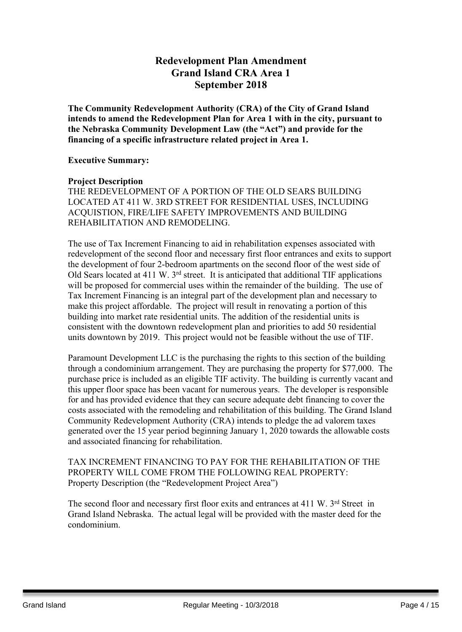## **Redevelopment Plan Amendment Grand Island CRA Area 1 September 2018**

**The Community Redevelopment Authority (CRA) of the City of Grand Island intends to amend the Redevelopment Plan for Area 1 with in the city, pursuant to the Nebraska Community Development Law (the "Act") and provide for the financing of a specific infrastructure related project in Area 1.**

#### **Executive Summary:**

#### **Project Description**

THE REDEVELOPMENT OF A PORTION OF THE OLD SEARS BUILDING LOCATED AT 411 W. 3RD STREET FOR RESIDENTIAL USES, INCLUDING ACQUISTION, FIRE/LIFE SAFETY IMPROVEMENTS AND BUILDING REHABILITATION AND REMODELING.

The use of Tax Increment Financing to aid in rehabilitation expenses associated with redevelopment of the second floor and necessary first floor entrances and exits to support the development of four 2-bedroom apartments on the second floor of the west side of Old Sears located at 411 W. 3<sup>rd</sup> street. It is anticipated that additional TIF applications will be proposed for commercial uses within the remainder of the building. The use of Tax Increment Financing is an integral part of the development plan and necessary to make this project affordable. The project will result in renovating a portion of this building into market rate residential units. The addition of the residential units is consistent with the downtown redevelopment plan and priorities to add 50 residential units downtown by 2019. This project would not be feasible without the use of TIF.

Paramount Development LLC is the purchasing the rights to this section of the building through a condominium arrangement. They are purchasing the property for \$77,000. The purchase price is included as an eligible TIF activity. The building is currently vacant and this upper floor space has been vacant for numerous years. The developer is responsible for and has provided evidence that they can secure adequate debt financing to cover the costs associated with the remodeling and rehabilitation of this building. The Grand Island Community Redevelopment Authority (CRA) intends to pledge the ad valorem taxes generated over the 15 year period beginning January 1, 2020 towards the allowable costs and associated financing for rehabilitation.

TAX INCREMENT FINANCING TO PAY FOR THE REHABILITATION OF THE PROPERTY WILL COME FROM THE FOLLOWING REAL PROPERTY: Property Description (the "Redevelopment Project Area")

The second floor and necessary first floor exits and entrances at 411 W. 3rd Street in Grand Island Nebraska. The actual legal will be provided with the master deed for the condominium.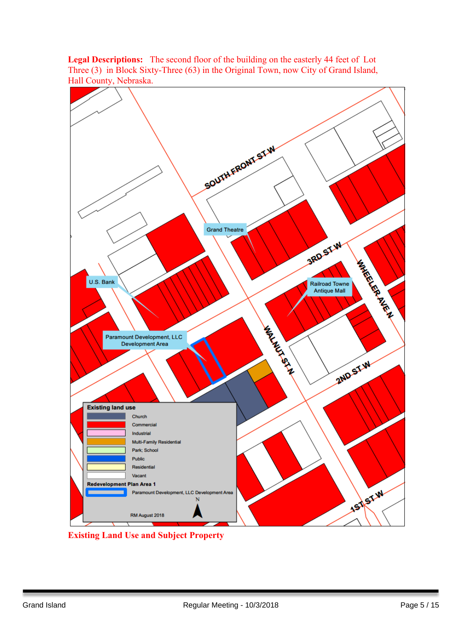**Legal Descriptions:** The second floor of the building on the easterly 44 feet of Lot Three (3) in Block Sixty-Three (63) in the Original Town, now City of Grand Island, Hall County, Nebraska.



**Existing Land Use and Subject Property**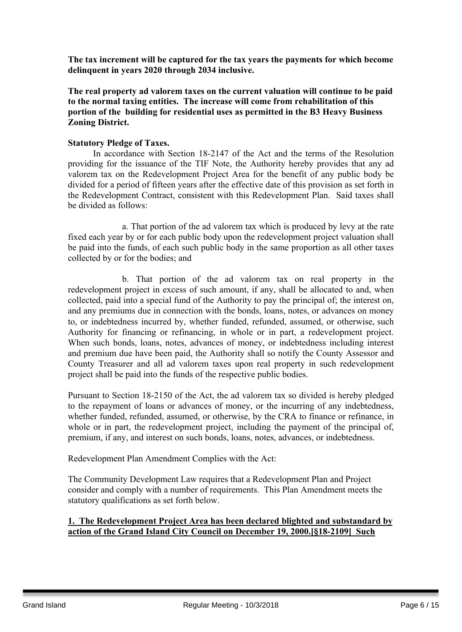**The tax increment will be captured for the tax years the payments for which become delinquent in years 2020 through 2034 inclusive.**

**The real property ad valorem taxes on the current valuation will continue to be paid to the normal taxing entities. The increase will come from rehabilitation of this portion of the building for residential uses as permitted in the B3 Heavy Business Zoning District.**

#### **Statutory Pledge of Taxes.**

In accordance with Section 18-2147 of the Act and the terms of the Resolution providing for the issuance of the TIF Note, the Authority hereby provides that any ad valorem tax on the Redevelopment Project Area for the benefit of any public body be divided for a period of fifteen years after the effective date of this provision as set forth in the Redevelopment Contract, consistent with this Redevelopment Plan. Said taxes shall be divided as follows:

a. That portion of the ad valorem tax which is produced by levy at the rate fixed each year by or for each public body upon the redevelopment project valuation shall be paid into the funds, of each such public body in the same proportion as all other taxes collected by or for the bodies; and

b. That portion of the ad valorem tax on real property in the redevelopment project in excess of such amount, if any, shall be allocated to and, when collected, paid into a special fund of the Authority to pay the principal of; the interest on, and any premiums due in connection with the bonds, loans, notes, or advances on money to, or indebtedness incurred by, whether funded, refunded, assumed, or otherwise, such Authority for financing or refinancing, in whole or in part, a redevelopment project. When such bonds, loans, notes, advances of money, or indebtedness including interest and premium due have been paid, the Authority shall so notify the County Assessor and County Treasurer and all ad valorem taxes upon real property in such redevelopment project shall be paid into the funds of the respective public bodies.

Pursuant to Section 18-2150 of the Act, the ad valorem tax so divided is hereby pledged to the repayment of loans or advances of money, or the incurring of any indebtedness, whether funded, refunded, assumed, or otherwise, by the CRA to finance or refinance, in whole or in part, the redevelopment project, including the payment of the principal of, premium, if any, and interest on such bonds, loans, notes, advances, or indebtedness.

Redevelopment Plan Amendment Complies with the Act:

The Community Development Law requires that a Redevelopment Plan and Project consider and comply with a number of requirements. This Plan Amendment meets the statutory qualifications as set forth below.

#### **1. The Redevelopment Project Area has been declared blighted and substandard by action of the Grand Island City Council on December 19, 2000.[§18-2109] Such**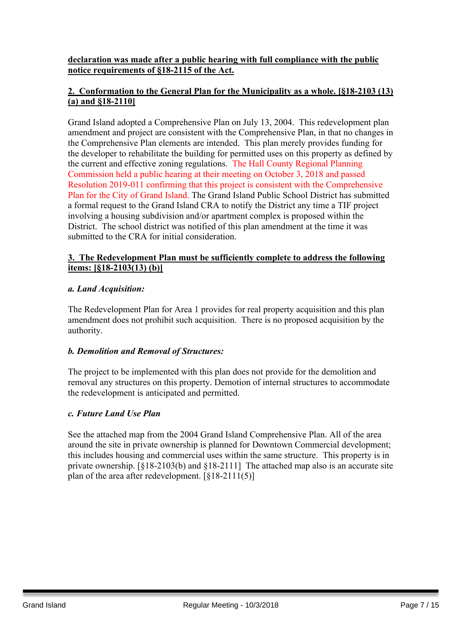#### **declaration was made after a public hearing with full compliance with the public notice requirements of §18-2115 of the Act.**

## **2. Conformation to the General Plan for the Municipality as a whole. [§18-2103 (13) (a) and §18-2110]**

Grand Island adopted a Comprehensive Plan on July 13, 2004. This redevelopment plan amendment and project are consistent with the Comprehensive Plan, in that no changes in the Comprehensive Plan elements are intended. This plan merely provides funding for the developer to rehabilitate the building for permitted uses on this property as defined by the current and effective zoning regulations. The Hall County Regional Planning Commission held a public hearing at their meeting on October 3, 2018 and passed Resolution 2019-011 confirming that this project is consistent with the Comprehensive Plan for the City of Grand Island. The Grand Island Public School District has submitted a formal request to the Grand Island CRA to notify the District any time a TIF project involving a housing subdivision and/or apartment complex is proposed within the District. The school district was notified of this plan amendment at the time it was submitted to the CRA for initial consideration.

#### **3. The Redevelopment Plan must be sufficiently complete to address the following items: [§18-2103(13) (b)]**

#### *a. Land Acquisition:*

The Redevelopment Plan for Area 1 provides for real property acquisition and this plan amendment does not prohibit such acquisition. There is no proposed acquisition by the authority.

#### *b. Demolition and Removal of Structures:*

The project to be implemented with this plan does not provide for the demolition and removal any structures on this property. Demotion of internal structures to accommodate the redevelopment is anticipated and permitted.

#### *c. Future Land Use Plan*

See the attached map from the 2004 Grand Island Comprehensive Plan. All of the area around the site in private ownership is planned for Downtown Commercial development; this includes housing and commercial uses within the same structure. This property is in private ownership. [§18-2103(b) and §18-2111] The attached map also is an accurate site plan of the area after redevelopment. [§18-2111(5)]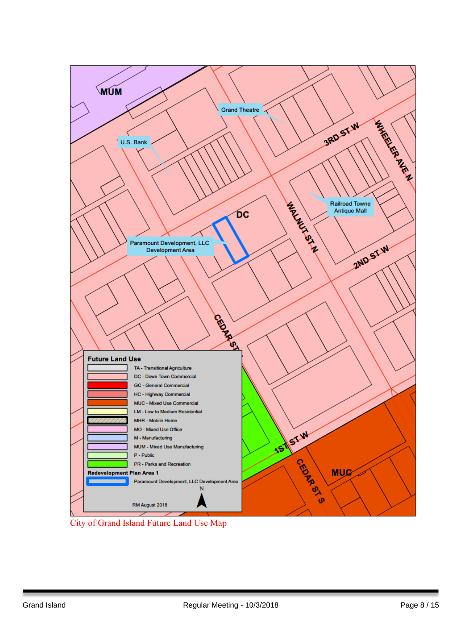

City of Grand Island Future Land Use Map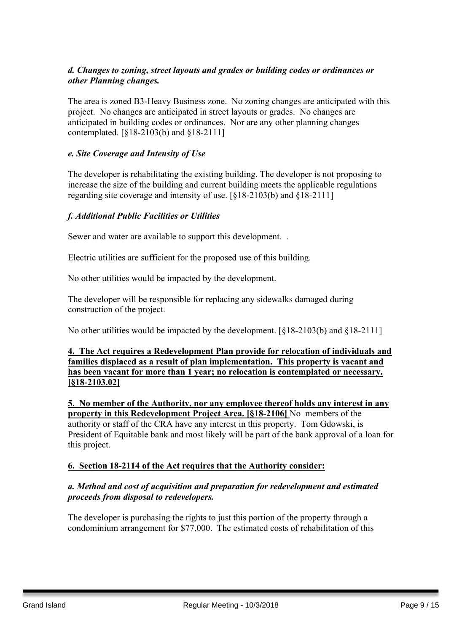## *d. Changes to zoning, street layouts and grades or building codes or ordinances or other Planning changes.*

The area is zoned B3-Heavy Business zone. No zoning changes are anticipated with this project. No changes are anticipated in street layouts or grades. No changes are anticipated in building codes or ordinances. Nor are any other planning changes contemplated. [§18-2103(b) and §18-2111]

#### *e. Site Coverage and Intensity of Use*

The developer is rehabilitating the existing building. The developer is not proposing to increase the size of the building and current building meets the applicable regulations regarding site coverage and intensity of use. [§18-2103(b) and §18-2111]

## *f. Additional Public Facilities or Utilities*

Sewer and water are available to support this development. .

Electric utilities are sufficient for the proposed use of this building.

No other utilities would be impacted by the development.

The developer will be responsible for replacing any sidewalks damaged during construction of the project.

No other utilities would be impacted by the development. [§18-2103(b) and §18-2111]

#### **4. The Act requires a Redevelopment Plan provide for relocation of individuals and families displaced as a result of plan implementation. This property is vacant and has been vacant for more than 1 year; no relocation is contemplated or necessary. [§18-2103.02]**

**5. No member of the Authority, nor any employee thereof holds any interest in any property in this Redevelopment Project Area. [§18-2106]** No members of the authority or staff of the CRA have any interest in this property. Tom Gdowski, is President of Equitable bank and most likely will be part of the bank approval of a loan for this project.

#### **6. Section 18-2114 of the Act requires that the Authority consider:**

#### *a. Method and cost of acquisition and preparation for redevelopment and estimated proceeds from disposal to redevelopers.*

The developer is purchasing the rights to just this portion of the property through a condominium arrangement for \$77,000. The estimated costs of rehabilitation of this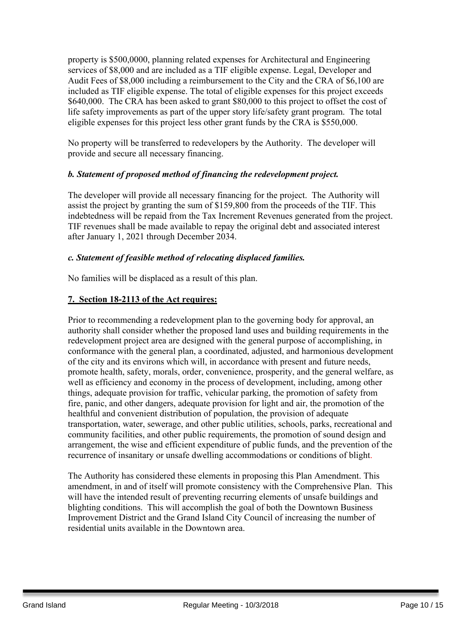property is \$500,0000, planning related expenses for Architectural and Engineering services of \$8,000 and are included as a TIF eligible expense. Legal, Developer and Audit Fees of \$8,000 including a reimbursement to the City and the CRA of \$6,100 are included as TIF eligible expense. The total of eligible expenses for this project exceeds \$640,000. The CRA has been asked to grant \$80,000 to this project to offset the cost of life safety improvements as part of the upper story life/safety grant program. The total eligible expenses for this project less other grant funds by the CRA is \$550,000.

No property will be transferred to redevelopers by the Authority. The developer will provide and secure all necessary financing.

## *b. Statement of proposed method of financing the redevelopment project.*

The developer will provide all necessary financing for the project. The Authority will assist the project by granting the sum of \$159,800 from the proceeds of the TIF. This indebtedness will be repaid from the Tax Increment Revenues generated from the project. TIF revenues shall be made available to repay the original debt and associated interest after January 1, 2021 through December 2034.

## *c. Statement of feasible method of relocating displaced families.*

No families will be displaced as a result of this plan.

## **7. Section 18-2113 of the Act requires:**

Prior to recommending a redevelopment plan to the governing body for approval, an authority shall consider whether the proposed land uses and building requirements in the redevelopment project area are designed with the general purpose of accomplishing, in conformance with the general plan, a coordinated, adjusted, and harmonious development of the city and its environs which will, in accordance with present and future needs, promote health, safety, morals, order, convenience, prosperity, and the general welfare, as well as efficiency and economy in the process of development, including, among other things, adequate provision for traffic, vehicular parking, the promotion of safety from fire, panic, and other dangers, adequate provision for light and air, the promotion of the healthful and convenient distribution of population, the provision of adequate transportation, water, sewerage, and other public utilities, schools, parks, recreational and community facilities, and other public requirements, the promotion of sound design and arrangement, the wise and efficient expenditure of public funds, and the prevention of the recurrence of insanitary or unsafe dwelling accommodations or conditions of blight.

The Authority has considered these elements in proposing this Plan Amendment. This amendment, in and of itself will promote consistency with the Comprehensive Plan. This will have the intended result of preventing recurring elements of unsafe buildings and blighting conditions. This will accomplish the goal of both the Downtown Business Improvement District and the Grand Island City Council of increasing the number of residential units available in the Downtown area.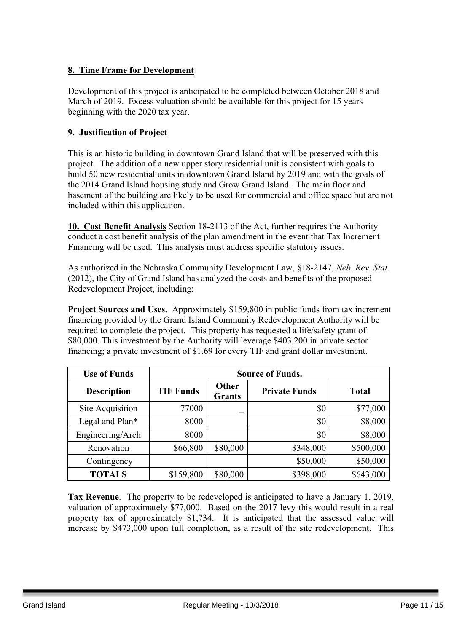## **8. Time Frame for Development**

Development of this project is anticipated to be completed between October 2018 and March of 2019. Excess valuation should be available for this project for 15 years beginning with the 2020 tax year.

#### **9. Justification of Project**

This is an historic building in downtown Grand Island that will be preserved with this project. The addition of a new upper story residential unit is consistent with goals to build 50 new residential units in downtown Grand Island by 2019 and with the goals of the 2014 Grand Island housing study and Grow Grand Island. The main floor and basement of the building are likely to be used for commercial and office space but are not included within this application.

**10. Cost Benefit Analysis** Section 18-2113 of the Act, further requires the Authority conduct a cost benefit analysis of the plan amendment in the event that Tax Increment Financing will be used. This analysis must address specific statutory issues.

As authorized in the Nebraska Community Development Law, §18-2147, *Neb. Rev. Stat.* (2012), the City of Grand Island has analyzed the costs and benefits of the proposed Redevelopment Project, including:

**Project Sources and Uses.** Approximately \$159,800 in public funds from tax increment financing provided by the Grand Island Community Redevelopment Authority will be required to complete the project. This property has requested a life/safety grant of \$80,000. This investment by the Authority will leverage \$403,200 in private sector financing; a private investment of \$1.69 for every TIF and grant dollar investment.

| <b>Use of Funds</b> | <b>Source of Funds.</b> |                        |                      |              |  |
|---------------------|-------------------------|------------------------|----------------------|--------------|--|
| <b>Description</b>  | <b>TIF Funds</b>        | Other<br><b>Grants</b> | <b>Private Funds</b> | <b>Total</b> |  |
| Site Acquisition    | 77000                   |                        | \$0                  | \$77,000     |  |
| Legal and Plan*     | 8000                    |                        | \$0                  | \$8,000      |  |
| Engineering/Arch    | 8000                    |                        | \$0                  | \$8,000      |  |
| Renovation          | \$66,800                | \$80,000               | \$348,000            | \$500,000    |  |
| Contingency         |                         |                        | \$50,000             | \$50,000     |  |
| <b>TOTALS</b>       | \$159,800               | \$80,000               | \$398,000            | \$643,000    |  |

**Tax Revenue**. The property to be redeveloped is anticipated to have a January 1, 2019, valuation of approximately \$77,000. Based on the 2017 levy this would result in a real property tax of approximately \$1,734. It is anticipated that the assessed value will increase by \$473,000 upon full completion, as a result of the site redevelopment. This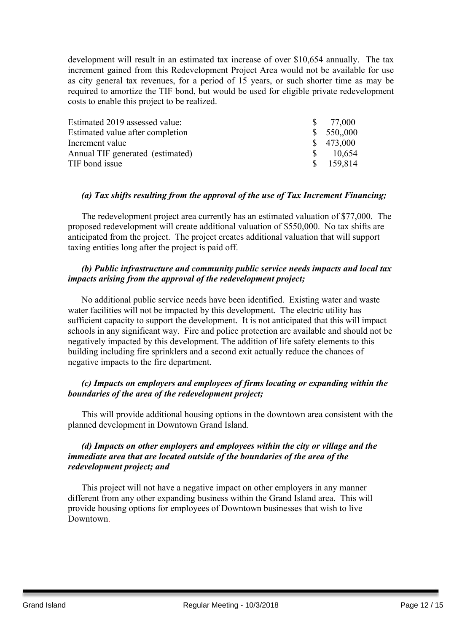development will result in an estimated tax increase of over \$10,654 annually. The tax increment gained from this Redevelopment Project Area would not be available for use as city general tax revenues, for a period of 15 years, or such shorter time as may be required to amortize the TIF bond, but would be used for eligible private redevelopment costs to enable this project to be realized.

| Estimated 2019 assessed value:   |   | $\frac{\$}{5}$ 77,000 |
|----------------------------------|---|-----------------------|
| Estimated value after completion |   | \$550,000             |
| Increment value                  |   | \$473,000             |
| Annual TIF generated (estimated) | S | 10,654                |
| TIF bond issue                   |   | \$159,814             |

#### *(a) Tax shifts resulting from the approval of the use of Tax Increment Financing;*

The redevelopment project area currently has an estimated valuation of \$77,000. The proposed redevelopment will create additional valuation of \$550,000. No tax shifts are anticipated from the project. The project creates additional valuation that will support taxing entities long after the project is paid off.

#### *(b) Public infrastructure and community public service needs impacts and local tax impacts arising from the approval of the redevelopment project;*

No additional public service needs have been identified. Existing water and waste water facilities will not be impacted by this development. The electric utility has sufficient capacity to support the development. It is not anticipated that this will impact schools in any significant way. Fire and police protection are available and should not be negatively impacted by this development. The addition of life safety elements to this building including fire sprinklers and a second exit actually reduce the chances of negative impacts to the fire department.

#### *(c) Impacts on employers and employees of firms locating or expanding within the boundaries of the area of the redevelopment project;*

This will provide additional housing options in the downtown area consistent with the planned development in Downtown Grand Island.

#### *(d) Impacts on other employers and employees within the city or village and the immediate area that are located outside of the boundaries of the area of the redevelopment project; and*

This project will not have a negative impact on other employers in any manner different from any other expanding business within the Grand Island area. This will provide housing options for employees of Downtown businesses that wish to live Downtown.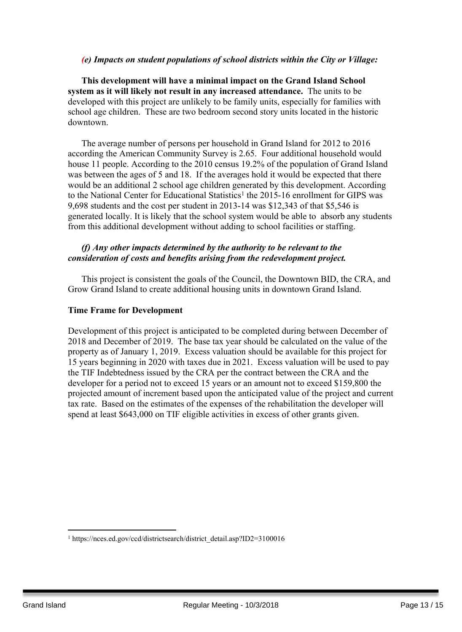#### *(e) Impacts on student populations of school districts within the City or Village:*

**This development will have a minimal impact on the Grand Island School system as it will likely not result in any increased attendance.** The units to be developed with this project are unlikely to be family units, especially for families with school age children. These are two bedroom second story units located in the historic downtown.

The average number of persons per household in Grand Island for 2012 to 2016 according the American Community Survey is 2.65. Four additional household would house 11 people. According to the 2010 census 19.2% of the population of Grand Island was between the ages of 5 and 18. If the averages hold it would be expected that there would be an additional 2 school age children generated by this development. According to the National Center for Educational Statistics<sup>1</sup> the 2015-16 enrollment for GIPS was 9,698 students and the cost per student in 2013-14 was \$12,343 of that \$5,546 is generated locally. It is likely that the school system would be able to absorb any students from this additional development without adding to school facilities or staffing.

#### *(f) Any other impacts determined by the authority to be relevant to the consideration of costs and benefits arising from the redevelopment project.*

This project is consistent the goals of the Council, the Downtown BID, the CRA, and Grow Grand Island to create additional housing units in downtown Grand Island.

#### **Time Frame for Development**

Development of this project is anticipated to be completed during between December of 2018 and December of 2019. The base tax year should be calculated on the value of the property as of January 1, 2019. Excess valuation should be available for this project for 15 years beginning in 2020 with taxes due in 2021. Excess valuation will be used to pay the TIF Indebtedness issued by the CRA per the contract between the CRA and the developer for a period not to exceed 15 years or an amount not to exceed \$159,800 the projected amount of increment based upon the anticipated value of the project and current tax rate. Based on the estimates of the expenses of the rehabilitation the developer will spend at least \$643,000 on TIF eligible activities in excess of other grants given.

<sup>&</sup>lt;sup>1</sup> https://nces.ed.gov/ccd/districtsearch/district\_detail.asp?ID2=3100016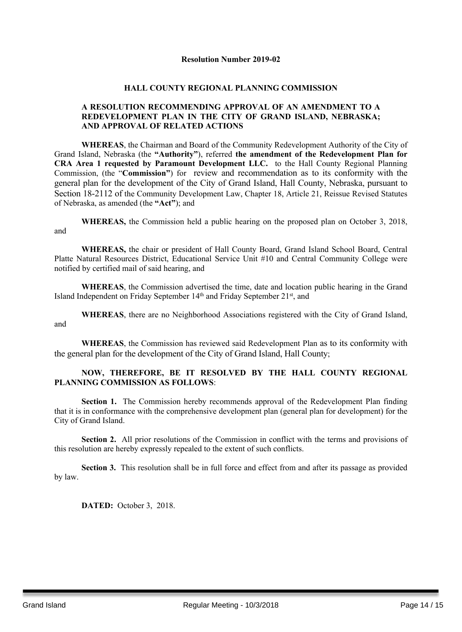#### **Resolution Number 2019-02**

#### **HALL COUNTY REGIONAL PLANNING COMMISSION**

#### **A RESOLUTION RECOMMENDING APPROVAL OF AN AMENDMENT TO A REDEVELOPMENT PLAN IN THE CITY OF GRAND ISLAND, NEBRASKA; AND APPROVAL OF RELATED ACTIONS**

**WHEREAS**, the Chairman and Board of the Community Redevelopment Authority of the City of Grand Island, Nebraska (the **"Authority"**), referred **the amendment of the Redevelopment Plan for CRA Area 1 requested by Paramount Development LLC.** to the Hall County Regional Planning Commission, (the "**Commission"**) for review and recommendation as to its conformity with the general plan for the development of the City of Grand Island, Hall County, Nebraska, pursuant to Section 18-2112 of the Community Development Law, Chapter 18, Article 21, Reissue Revised Statutes of Nebraska, as amended (the **"Act"**); and

**WHEREAS,** the Commission held a public hearing on the proposed plan on October 3, 2018, and

**WHEREAS,** the chair or president of Hall County Board, Grand Island School Board, Central Platte Natural Resources District, Educational Service Unit #10 and Central Community College were notified by certified mail of said hearing, and

**WHEREAS**, the Commission advertised the time, date and location public hearing in the Grand Island Independent on Friday September 14<sup>th</sup> and Friday September 21<sup>st</sup>, and

**WHEREAS**, there are no Neighborhood Associations registered with the City of Grand Island, and

**WHEREAS**, the Commission has reviewed said Redevelopment Plan as to its conformity with the general plan for the development of the City of Grand Island, Hall County;

#### **NOW, THEREFORE, BE IT RESOLVED BY THE HALL COUNTY REGIONAL PLANNING COMMISSION AS FOLLOWS**:

**Section 1.** The Commission hereby recommends approval of the Redevelopment Plan finding that it is in conformance with the comprehensive development plan (general plan for development) for the City of Grand Island.

**Section 2.** All prior resolutions of the Commission in conflict with the terms and provisions of this resolution are hereby expressly repealed to the extent of such conflicts.

**Section 3.** This resolution shall be in full force and effect from and after its passage as provided by law.

**DATED:** October 3, 2018.